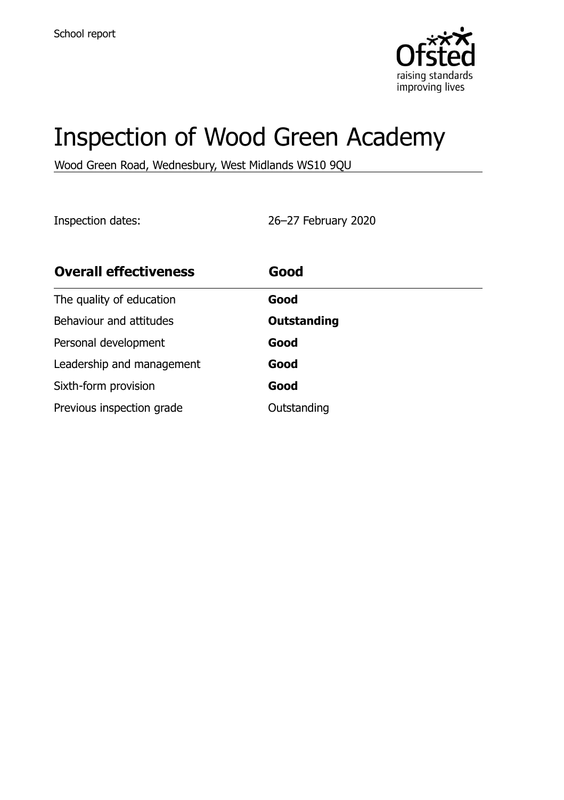

# Inspection of Wood Green Academy

Wood Green Road, Wednesbury, West Midlands WS10 9QU

Inspection dates: 26–27 February 2020

| <b>Overall effectiveness</b> | Good               |
|------------------------------|--------------------|
| The quality of education     | Good               |
| Behaviour and attitudes      | <b>Outstanding</b> |
| Personal development         | Good               |
| Leadership and management    | Good               |
| Sixth-form provision         | Good               |
| Previous inspection grade    | Outstanding        |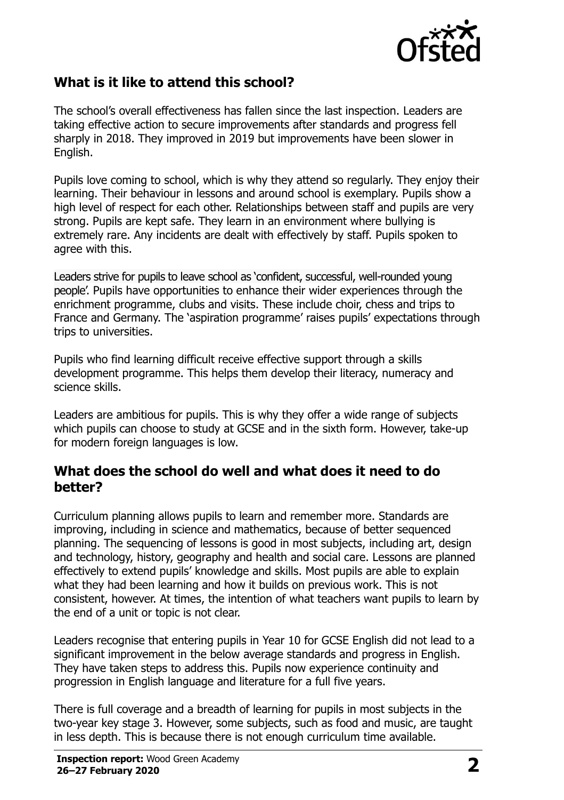

### **What is it like to attend this school?**

The school's overall effectiveness has fallen since the last inspection. Leaders are taking effective action to secure improvements after standards and progress fell sharply in 2018. They improved in 2019 but improvements have been slower in English.

Pupils love coming to school, which is why they attend so regularly. They enjoy their learning. Their behaviour in lessons and around school is exemplary. Pupils show a high level of respect for each other. Relationships between staff and pupils are very strong. Pupils are kept safe. They learn in an environment where bullying is extremely rare. Any incidents are dealt with effectively by staff. Pupils spoken to agree with this.

Leaders strive for pupils to leave school as 'confident, successful, well-rounded young people'. Pupils have opportunities to enhance their wider experiences through the enrichment programme, clubs and visits. These include choir, chess and trips to France and Germany. The 'aspiration programme' raises pupils' expectations through trips to universities.

Pupils who find learning difficult receive effective support through a skills development programme. This helps them develop their literacy, numeracy and science skills.

Leaders are ambitious for pupils. This is why they offer a wide range of subjects which pupils can choose to study at GCSE and in the sixth form. However, take-up for modern foreign languages is low.

#### **What does the school do well and what does it need to do better?**

Curriculum planning allows pupils to learn and remember more. Standards are improving, including in science and mathematics, because of better sequenced planning. The sequencing of lessons is good in most subjects, including art, design and technology, history, geography and health and social care. Lessons are planned effectively to extend pupils' knowledge and skills. Most pupils are able to explain what they had been learning and how it builds on previous work. This is not consistent, however. At times, the intention of what teachers want pupils to learn by the end of a unit or topic is not clear.

Leaders recognise that entering pupils in Year 10 for GCSE English did not lead to a significant improvement in the below average standards and progress in English. They have taken steps to address this. Pupils now experience continuity and progression in English language and literature for a full five years.

There is full coverage and a breadth of learning for pupils in most subjects in the two-year key stage 3. However, some subjects, such as food and music, are taught in less depth. This is because there is not enough curriculum time available.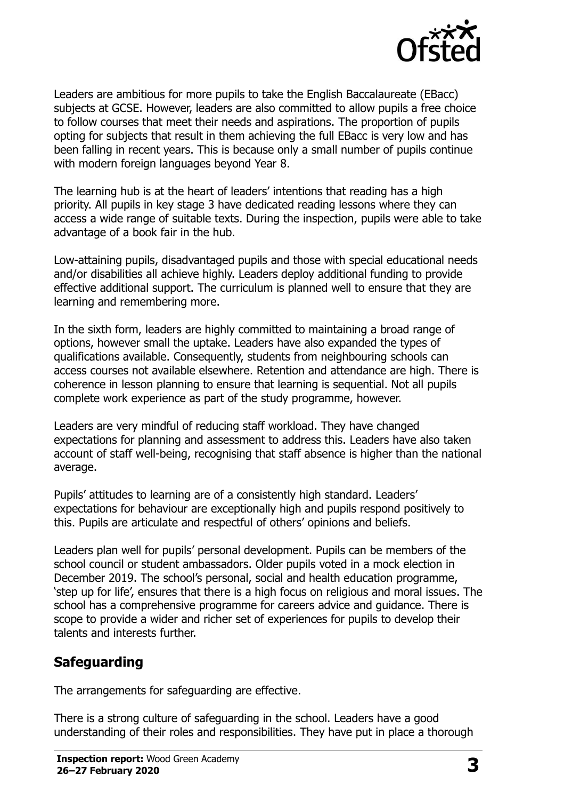

Leaders are ambitious for more pupils to take the English Baccalaureate (EBacc) subjects at GCSE. However, leaders are also committed to allow pupils a free choice to follow courses that meet their needs and aspirations. The proportion of pupils opting for subjects that result in them achieving the full EBacc is very low and has been falling in recent years. This is because only a small number of pupils continue with modern foreign languages beyond Year 8.

The learning hub is at the heart of leaders' intentions that reading has a high priority. All pupils in key stage 3 have dedicated reading lessons where they can access a wide range of suitable texts. During the inspection, pupils were able to take advantage of a book fair in the hub.

Low-attaining pupils, disadvantaged pupils and those with special educational needs and/or disabilities all achieve highly. Leaders deploy additional funding to provide effective additional support. The curriculum is planned well to ensure that they are learning and remembering more.

In the sixth form, leaders are highly committed to maintaining a broad range of options, however small the uptake. Leaders have also expanded the types of qualifications available. Consequently, students from neighbouring schools can access courses not available elsewhere. Retention and attendance are high. There is coherence in lesson planning to ensure that learning is sequential. Not all pupils complete work experience as part of the study programme, however.

Leaders are very mindful of reducing staff workload. They have changed expectations for planning and assessment to address this. Leaders have also taken account of staff well-being, recognising that staff absence is higher than the national average.

Pupils' attitudes to learning are of a consistently high standard. Leaders' expectations for behaviour are exceptionally high and pupils respond positively to this. Pupils are articulate and respectful of others' opinions and beliefs.

Leaders plan well for pupils' personal development. Pupils can be members of the school council or student ambassadors. Older pupils voted in a mock election in December 2019. The school's personal, social and health education programme, 'step up for life', ensures that there is a high focus on religious and moral issues. The school has a comprehensive programme for careers advice and guidance. There is scope to provide a wider and richer set of experiences for pupils to develop their talents and interests further.

### **Safeguarding**

The arrangements for safeguarding are effective.

There is a strong culture of safeguarding in the school. Leaders have a good understanding of their roles and responsibilities. They have put in place a thorough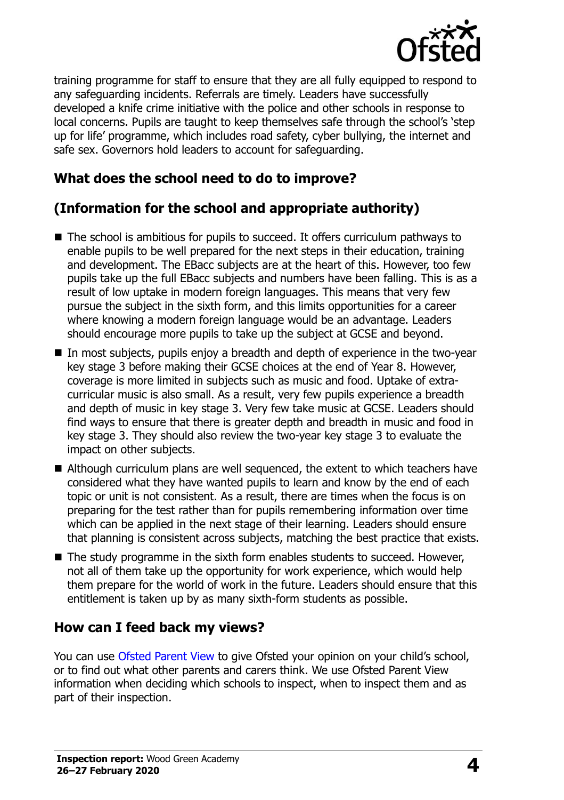

training programme for staff to ensure that they are all fully equipped to respond to any safeguarding incidents. Referrals are timely. Leaders have successfully developed a knife crime initiative with the police and other schools in response to local concerns. Pupils are taught to keep themselves safe through the school's 'step up for life' programme, which includes road safety, cyber bullying, the internet and safe sex. Governors hold leaders to account for safeguarding.

#### **What does the school need to do to improve?**

## **(Information for the school and appropriate authority)**

- The school is ambitious for pupils to succeed. It offers curriculum pathways to enable pupils to be well prepared for the next steps in their education, training and development. The EBacc subjects are at the heart of this. However, too few pupils take up the full EBacc subjects and numbers have been falling. This is as a result of low uptake in modern foreign languages. This means that very few pursue the subject in the sixth form, and this limits opportunities for a career where knowing a modern foreign language would be an advantage. Leaders should encourage more pupils to take up the subject at GCSE and beyond.
- In most subjects, pupils enjoy a breadth and depth of experience in the two-year key stage 3 before making their GCSE choices at the end of Year 8. However, coverage is more limited in subjects such as music and food. Uptake of extracurricular music is also small. As a result, very few pupils experience a breadth and depth of music in key stage 3. Very few take music at GCSE. Leaders should find ways to ensure that there is greater depth and breadth in music and food in key stage 3. They should also review the two-year key stage 3 to evaluate the impact on other subjects.
- Although curriculum plans are well sequenced, the extent to which teachers have considered what they have wanted pupils to learn and know by the end of each topic or unit is not consistent. As a result, there are times when the focus is on preparing for the test rather than for pupils remembering information over time which can be applied in the next stage of their learning. Leaders should ensure that planning is consistent across subjects, matching the best practice that exists.
- The study programme in the sixth form enables students to succeed. However, not all of them take up the opportunity for work experience, which would help them prepare for the world of work in the future. Leaders should ensure that this entitlement is taken up by as many sixth-form students as possible.

### **How can I feed back my views?**

You can use [Ofsted Parent View](http://parentview.ofsted.gov.uk/) to give Ofsted your opinion on your child's school, or to find out what other parents and carers think. We use Ofsted Parent View information when deciding which schools to inspect, when to inspect them and as part of their inspection.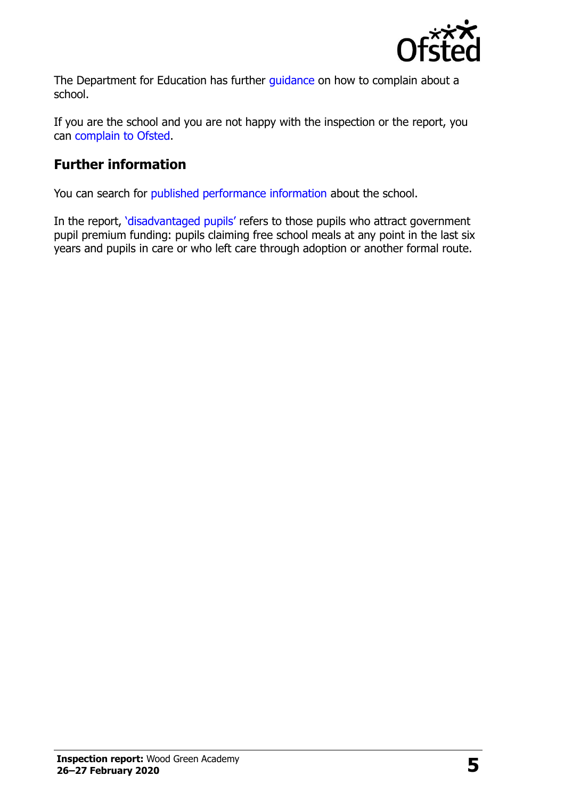

The Department for Education has further quidance on how to complain about a school.

If you are the school and you are not happy with the inspection or the report, you can [complain to Ofsted.](http://www.gov.uk/complain-ofsted-report)

## **Further information**

You can search for [published performance information](http://www.compare-school-performance.service.gov.uk/) about the school.

In the report, '[disadvantaged pupils](http://www.gov.uk/guidance/pupil-premium-information-for-schools-and-alternative-provision-settings)' refers to those pupils who attract government pupil premium funding: pupils claiming free school meals at any point in the last six years and pupils in care or who left care through adoption or another formal route.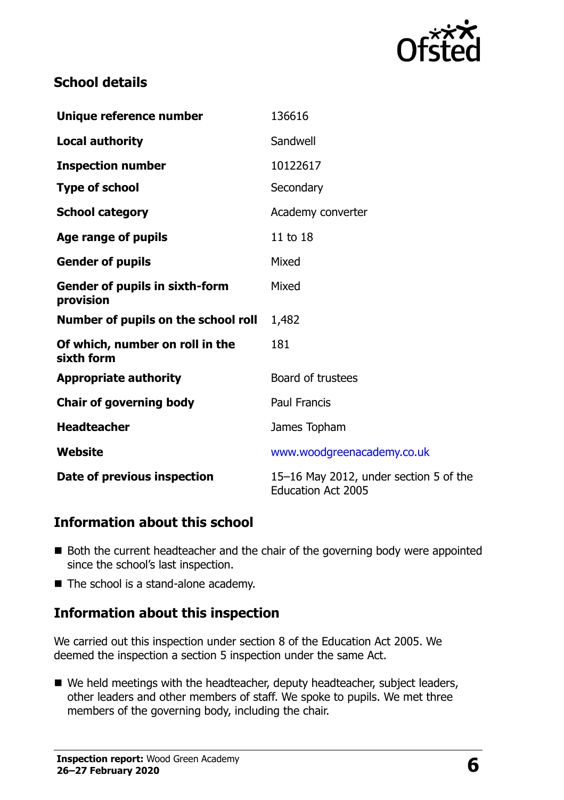

### **School details**

| Unique reference number                            | 136616                                                              |
|----------------------------------------------------|---------------------------------------------------------------------|
| <b>Local authority</b>                             | Sandwell                                                            |
| <b>Inspection number</b>                           | 10122617                                                            |
| <b>Type of school</b>                              | Secondary                                                           |
| <b>School category</b>                             | Academy converter                                                   |
| Age range of pupils                                | 11 to 18                                                            |
| <b>Gender of pupils</b>                            | Mixed                                                               |
| <b>Gender of pupils in sixth-form</b><br>provision | Mixed                                                               |
| Number of pupils on the school roll                | 1,482                                                               |
| Of which, number on roll in the<br>sixth form      | 181                                                                 |
| <b>Appropriate authority</b>                       | Board of trustees                                                   |
| <b>Chair of governing body</b>                     | <b>Paul Francis</b>                                                 |
| <b>Headteacher</b>                                 | James Topham                                                        |
| Website                                            | www.woodgreenacademy.co.uk                                          |
| Date of previous inspection                        | 15-16 May 2012, under section 5 of the<br><b>Education Act 2005</b> |

#### **Information about this school**

- Both the current headteacher and the chair of the governing body were appointed since the school's last inspection.
- The school is a stand-alone academy.

### **Information about this inspection**

We carried out this inspection under section 8 of the Education Act 2005. We deemed the inspection a section 5 inspection under the same Act.

■ We held meetings with the headteacher, deputy headteacher, subject leaders, other leaders and other members of staff. We spoke to pupils. We met three members of the governing body, including the chair.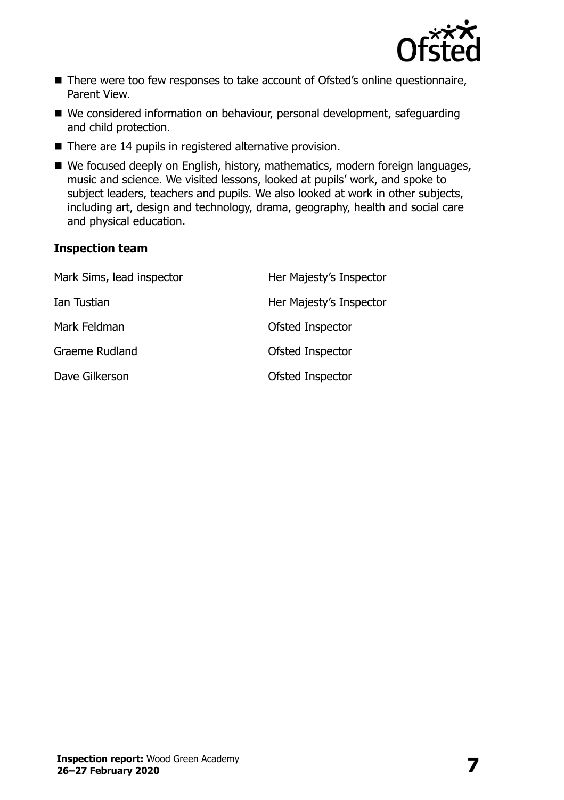

- There were too few responses to take account of Ofsted's online questionnaire, Parent View.
- We considered information on behaviour, personal development, safeguarding and child protection.
- There are 14 pupils in registered alternative provision.
- We focused deeply on English, history, mathematics, modern foreign languages, music and science. We visited lessons, looked at pupils' work, and spoke to subject leaders, teachers and pupils. We also looked at work in other subjects, including art, design and technology, drama, geography, health and social care and physical education.

#### **Inspection team**

| Mark Sims, lead inspector | Her Majesty's Inspector |
|---------------------------|-------------------------|
| Ian Tustian               | Her Majesty's Inspector |
| Mark Feldman              | Ofsted Inspector        |
| Graeme Rudland            | Ofsted Inspector        |
| Dave Gilkerson            | Ofsted Inspector        |